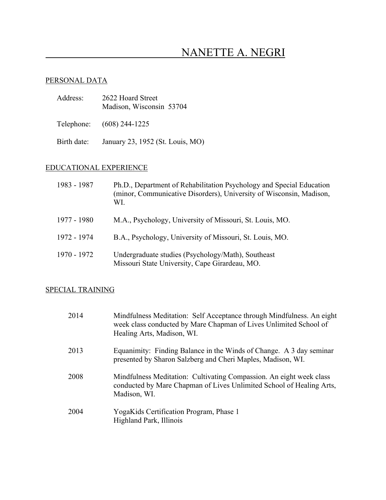# NANETTE A. NEGRI

## PERSONAL DATA

| Address:    | 2622 Hoard Street<br>Madison, Wisconsin 53704 |
|-------------|-----------------------------------------------|
|             | Telephone: (608) 244-1225                     |
| Birth date: | January 23, 1952 (St. Louis, MO)              |

# EDUCATIONAL EXPERIENCE

| 1983 - 1987 | Ph.D., Department of Rehabilitation Psychology and Special Education<br>(minor, Communicative Disorders), University of Wisconsin, Madison,<br>WI. |
|-------------|----------------------------------------------------------------------------------------------------------------------------------------------------|
| 1977 - 1980 | M.A., Psychology, University of Missouri, St. Louis, MO.                                                                                           |
| 1972 - 1974 | B.A., Psychology, University of Missouri, St. Louis, MO.                                                                                           |
| 1970 - 1972 | Undergraduate studies (Psychology/Math), Southeast<br>Missouri State University, Cape Girardeau, MO.                                               |

## SPECIAL TRAINING

| 2014 | Mindfulness Meditation: Self Acceptance through Mindfulness. An eight<br>week class conducted by Mare Chapman of Lives Unlimited School of<br>Healing Arts, Madison, WI. |
|------|--------------------------------------------------------------------------------------------------------------------------------------------------------------------------|
| 2013 | Equanimity: Finding Balance in the Winds of Change. A 3 day seminar<br>presented by Sharon Salzberg and Cheri Maples, Madison, WI.                                       |
| 2008 | Mindfulness Meditation: Cultivating Compassion. An eight week class<br>conducted by Mare Chapman of Lives Unlimited School of Healing Arts,<br>Madison, WI.              |
| 2004 | YogaKids Certification Program, Phase 1<br>Highland Park, Illinois                                                                                                       |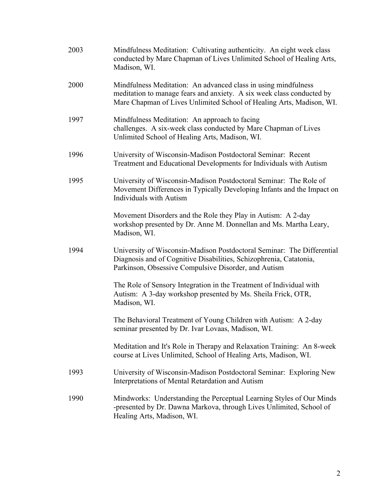| 2003 | Mindfulness Meditation: Cultivating authenticity. An eight week class<br>conducted by Mare Chapman of Lives Unlimited School of Healing Arts,<br>Madison, WI.                                                   |
|------|-----------------------------------------------------------------------------------------------------------------------------------------------------------------------------------------------------------------|
| 2000 | Mindfulness Meditation: An advanced class in using mindfulness<br>meditation to manage fears and anxiety. A six week class conducted by<br>Mare Chapman of Lives Unlimited School of Healing Arts, Madison, WI. |
| 1997 | Mindfulness Meditation: An approach to facing<br>challenges. A six-week class conducted by Mare Chapman of Lives<br>Unlimited School of Healing Arts, Madison, WI.                                              |
| 1996 | University of Wisconsin-Madison Postdoctoral Seminar: Recent<br>Treatment and Educational Developments for Individuals with Autism                                                                              |
| 1995 | University of Wisconsin-Madison Postdoctoral Seminar: The Role of<br>Movement Differences in Typically Developing Infants and the Impact on<br><b>Individuals with Autism</b>                                   |
|      | Movement Disorders and the Role they Play in Autism: A 2-day<br>workshop presented by Dr. Anne M. Donnellan and Ms. Martha Leary,<br>Madison, WI.                                                               |
| 1994 | University of Wisconsin-Madison Postdoctoral Seminar: The Differential<br>Diagnosis and of Cognitive Disabilities, Schizophrenia, Catatonia,<br>Parkinson, Obsessive Compulsive Disorder, and Autism            |
|      | The Role of Sensory Integration in the Treatment of Individual with<br>Autism: A 3-day workshop presented by Ms. Sheila Frick, OTR,<br>Madison, WI.                                                             |
|      | The Behavioral Treatment of Young Children with Autism: A 2-day<br>seminar presented by Dr. Ivar Lovaas, Madison, WI.                                                                                           |
|      | Meditation and It's Role in Therapy and Relaxation Training: An 8-week<br>course at Lives Unlimited, School of Healing Arts, Madison, WI.                                                                       |
| 1993 | University of Wisconsin-Madison Postdoctoral Seminar: Exploring New<br>Interpretations of Mental Retardation and Autism                                                                                         |
| 1990 | Mindworks: Understanding the Perceptual Learning Styles of Our Minds<br>-presented by Dr. Dawna Markova, through Lives Unlimited, School of<br>Healing Arts, Madison, WI.                                       |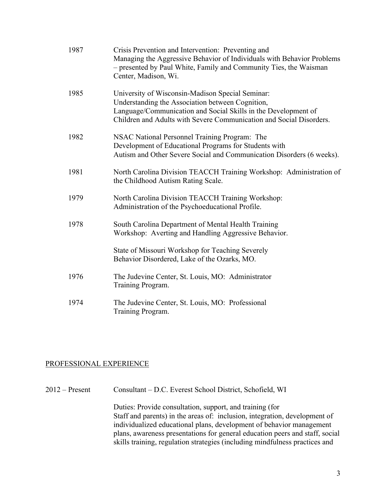| 1987 | Crisis Prevention and Intervention: Preventing and<br>Managing the Aggressive Behavior of Individuals with Behavior Problems<br>- presented by Paul White, Family and Community Ties, the Waisman<br>Center, Madison, Wi.                     |
|------|-----------------------------------------------------------------------------------------------------------------------------------------------------------------------------------------------------------------------------------------------|
| 1985 | University of Wisconsin-Madison Special Seminar:<br>Understanding the Association between Cognition,<br>Language/Communication and Social Skills in the Development of<br>Children and Adults with Severe Communication and Social Disorders. |
| 1982 | NSAC National Personnel Training Program: The<br>Development of Educational Programs for Students with<br>Autism and Other Severe Social and Communication Disorders (6 weeks).                                                               |
| 1981 | North Carolina Division TEACCH Training Workshop: Administration of<br>the Childhood Autism Rating Scale.                                                                                                                                     |
| 1979 | North Carolina Division TEACCH Training Workshop:<br>Administration of the Psychoeducational Profile.                                                                                                                                         |
| 1978 | South Carolina Department of Mental Health Training<br>Workshop: Averting and Handling Aggressive Behavior.                                                                                                                                   |
|      | State of Missouri Workshop for Teaching Severely<br>Behavior Disordered, Lake of the Ozarks, MO.                                                                                                                                              |
| 1976 | The Judevine Center, St. Louis, MO: Administrator<br>Training Program.                                                                                                                                                                        |
| 1974 | The Judevine Center, St. Louis, MO: Professional<br>Training Program.                                                                                                                                                                         |

#### PROFESSIONAL EXPERIENCE

2012 – Present Consultant – D.C. Everest School District, Schofield, WI Duties: Provide consultation, support, and training (for Staff and parents) in the areas of: inclusion, integration, development of individualized educational plans, development of behavior management plans, awareness presentations for general education peers and staff, social skills training, regulation strategies (including mindfulness practices and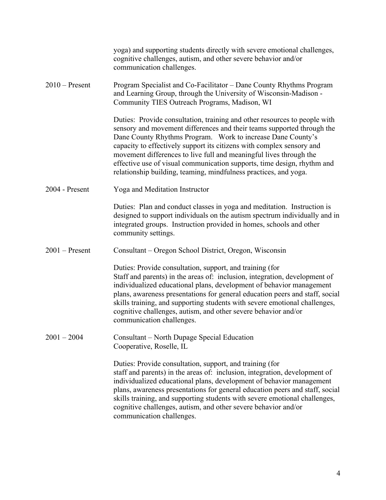|                  | yoga) and supporting students directly with severe emotional challenges,<br>cognitive challenges, autism, and other severe behavior and/or<br>communication challenges.                                                                                                                                                                                                                                                                                                                                          |
|------------------|------------------------------------------------------------------------------------------------------------------------------------------------------------------------------------------------------------------------------------------------------------------------------------------------------------------------------------------------------------------------------------------------------------------------------------------------------------------------------------------------------------------|
| $2010$ – Present | Program Specialist and Co-Facilitator – Dane County Rhythms Program<br>and Learning Group, through the University of Wisconsin-Madison -<br>Community TIES Outreach Programs, Madison, WI                                                                                                                                                                                                                                                                                                                        |
|                  | Duties: Provide consultation, training and other resources to people with<br>sensory and movement differences and their teams supported through the<br>Dane County Rhythms Program. Work to increase Dane County's<br>capacity to effectively support its citizens with complex sensory and<br>movement differences to live full and meaningful lives through the<br>effective use of visual communication supports, time design, rhythm and<br>relationship building, teaming, mindfulness practices, and yoga. |
| 2004 - Present   | Yoga and Meditation Instructor                                                                                                                                                                                                                                                                                                                                                                                                                                                                                   |
|                  | Duties: Plan and conduct classes in yoga and meditation. Instruction is<br>designed to support individuals on the autism spectrum individually and in<br>integrated groups. Instruction provided in homes, schools and other<br>community settings.                                                                                                                                                                                                                                                              |
| $2001$ – Present | Consultant – Oregon School District, Oregon, Wisconsin                                                                                                                                                                                                                                                                                                                                                                                                                                                           |
|                  | Duties: Provide consultation, support, and training (for<br>Staff and parents) in the areas of: inclusion, integration, development of<br>individualized educational plans, development of behavior management<br>plans, awareness presentations for general education peers and staff, social<br>skills training, and supporting students with severe emotional challenges,<br>cognitive challenges, autism, and other severe behavior and/or<br>communication challenges.                                      |
| $2001 - 2004$    | Consultant – North Dupage Special Education<br>Cooperative, Roselle, IL                                                                                                                                                                                                                                                                                                                                                                                                                                          |
|                  | Duties: Provide consultation, support, and training (for<br>staff and parents) in the areas of: inclusion, integration, development of<br>individualized educational plans, development of behavior management<br>plans, awareness presentations for general education peers and staff, social<br>skills training, and supporting students with severe emotional challenges,<br>cognitive challenges, autism, and other severe behavior and/or<br>communication challenges.                                      |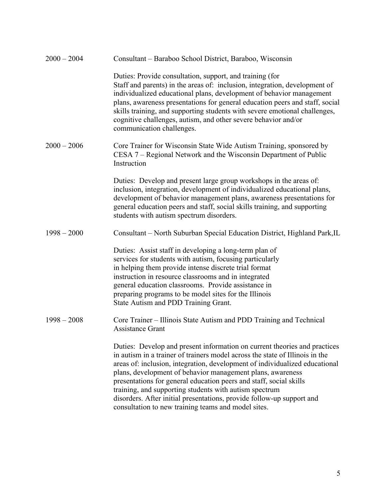| $2000 - 2004$ | Consultant – Baraboo School District, Baraboo, Wisconsin                                                                                                                                                                                                                                                                                                                                                                                                                                                                                                               |
|---------------|------------------------------------------------------------------------------------------------------------------------------------------------------------------------------------------------------------------------------------------------------------------------------------------------------------------------------------------------------------------------------------------------------------------------------------------------------------------------------------------------------------------------------------------------------------------------|
|               | Duties: Provide consultation, support, and training (for<br>Staff and parents) in the areas of: inclusion, integration, development of<br>individualized educational plans, development of behavior management<br>plans, awareness presentations for general education peers and staff, social<br>skills training, and supporting students with severe emotional challenges,<br>cognitive challenges, autism, and other severe behavior and/or<br>communication challenges.                                                                                            |
| $2000 - 2006$ | Core Trainer for Wisconsin State Wide Autism Training, sponsored by<br>CESA 7 – Regional Network and the Wisconsin Department of Public<br>Instruction                                                                                                                                                                                                                                                                                                                                                                                                                 |
|               | Duties: Develop and present large group workshops in the areas of:<br>inclusion, integration, development of individualized educational plans,<br>development of behavior management plans, awareness presentations for<br>general education peers and staff, social skills training, and supporting<br>students with autism spectrum disorders.                                                                                                                                                                                                                       |
| $1998 - 2000$ | Consultant – North Suburban Special Education District, Highland Park, IL                                                                                                                                                                                                                                                                                                                                                                                                                                                                                              |
|               | Duties: Assist staff in developing a long-term plan of<br>services for students with autism, focusing particularly<br>in helping them provide intense discrete trial format<br>instruction in resource classrooms and in integrated<br>general education classrooms. Provide assistance in<br>preparing programs to be model sites for the Illinois<br>State Autism and PDD Training Grant.                                                                                                                                                                            |
| $1998 - 2008$ | Core Trainer – Illinois State Autism and PDD Training and Technical<br><b>Assistance Grant</b>                                                                                                                                                                                                                                                                                                                                                                                                                                                                         |
|               | Duties: Develop and present information on current theories and practices<br>in autism in a trainer of trainers model across the state of Illinois in the<br>areas of: inclusion, integration, development of individualized educational<br>plans, development of behavior management plans, awareness<br>presentations for general education peers and staff, social skills<br>training, and supporting students with autism spectrum<br>disorders. After initial presentations, provide follow-up support and<br>consultation to new training teams and model sites. |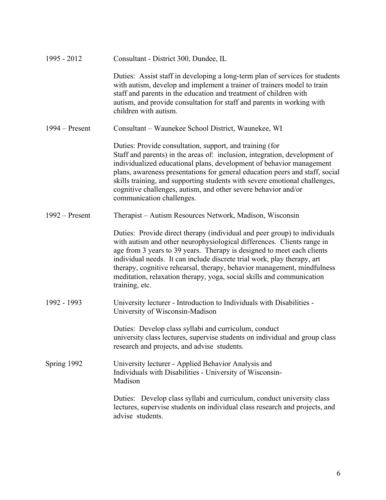| 1995 - 2012      | Consultant - District 300, Dundee, IL                                                                                                                                                                                                                                                                                                                                                                                                                                          |
|------------------|--------------------------------------------------------------------------------------------------------------------------------------------------------------------------------------------------------------------------------------------------------------------------------------------------------------------------------------------------------------------------------------------------------------------------------------------------------------------------------|
|                  | Duties: Assist staff in developing a long-term plan of services for students<br>with autism, develop and implement a trainer of trainers model to train<br>staff and parents in the education and treatment of children with<br>autism, and provide consultation for staff and parents in working with<br>children with autism.                                                                                                                                                |
| $1994 -$ Present | Consultant - Waunekee School District, Waunekee, WI                                                                                                                                                                                                                                                                                                                                                                                                                            |
|                  | Duties: Provide consultation, support, and training (for<br>Staff and parents) in the areas of: inclusion, integration, development of<br>individualized educational plans, development of behavior management<br>plans, awareness presentations for general education peers and staff, social<br>skills training, and supporting students with severe emotional challenges,<br>cognitive challenges, autism, and other severe behavior and/or<br>communication challenges.    |
| $1992 -$ Present | Therapist - Autism Resources Network, Madison, Wisconsin                                                                                                                                                                                                                                                                                                                                                                                                                       |
|                  | Duties: Provide direct therapy (individual and peer group) to individuals<br>with autism and other neurophysiological differences. Clients range in<br>age from 3 years to 39 years. Therapy is designed to meet each clients<br>individual needs. It can include discrete trial work, play therapy, art<br>therapy, cognitive rehearsal, therapy, behavior management, mindfulness<br>meditation, relaxation therapy, yoga, social skills and communication<br>training, etc. |
| 1992 - 1993      | University lecturer - Introduction to Individuals with Disabilities -<br>University of Wisconsin-Madison                                                                                                                                                                                                                                                                                                                                                                       |
|                  | Duties: Develop class syllabi and curriculum, conduct<br>university class lectures, supervise students on individual and group class<br>research and projects, and advise students.                                                                                                                                                                                                                                                                                            |
| Spring 1992      | University lecturer - Applied Behavior Analysis and<br>Individuals with Disabilities - University of Wisconsin-<br>Madison                                                                                                                                                                                                                                                                                                                                                     |
|                  | Duties: Develop class syllabi and curriculum, conduct university class<br>lectures, supervise students on individual class research and projects, and<br>advise students.                                                                                                                                                                                                                                                                                                      |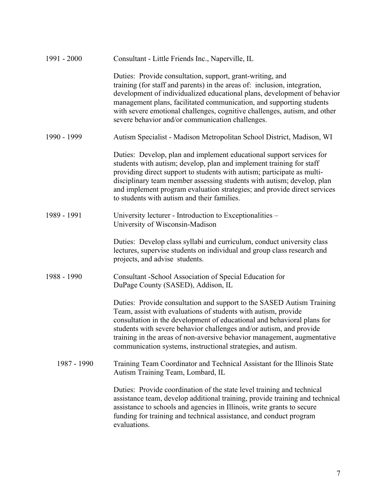| 1991 - 2000 | Consultant - Little Friends Inc., Naperville, IL                                                                                                                                                                                                                                                                                                                                                                                     |
|-------------|--------------------------------------------------------------------------------------------------------------------------------------------------------------------------------------------------------------------------------------------------------------------------------------------------------------------------------------------------------------------------------------------------------------------------------------|
|             | Duties: Provide consultation, support, grant-writing, and<br>training (for staff and parents) in the areas of: inclusion, integration,<br>development of individualized educational plans, development of behavior<br>management plans, facilitated communication, and supporting students<br>with severe emotional challenges, cognitive challenges, autism, and other<br>severe behavior and/or communication challenges.          |
| 1990 - 1999 | Autism Specialist - Madison Metropolitan School District, Madison, WI                                                                                                                                                                                                                                                                                                                                                                |
|             | Duties: Develop, plan and implement educational support services for<br>students with autism; develop, plan and implement training for staff<br>providing direct support to students with autism; participate as multi-<br>disciplinary team member assessing students with autism; develop, plan<br>and implement program evaluation strategies; and provide direct services<br>to students with autism and their families.         |
| 1989 - 1991 | University lecturer - Introduction to Exceptionalities –<br>University of Wisconsin-Madison                                                                                                                                                                                                                                                                                                                                          |
|             | Duties: Develop class syllabi and curriculum, conduct university class<br>lectures, supervise students on individual and group class research and<br>projects, and advise students.                                                                                                                                                                                                                                                  |
| 1988 - 1990 | Consultant - School Association of Special Education for<br>DuPage County (SASED), Addison, IL                                                                                                                                                                                                                                                                                                                                       |
|             | Duties: Provide consultation and support to the SASED Autism Training<br>Team, assist with evaluations of students with autism, provide<br>consultation in the development of educational and behavioral plans for<br>students with severe behavior challenges and/or autism, and provide<br>training in the areas of non-aversive behavior management, augmentative<br>communication systems, instructional strategies, and autism. |
| 1987 - 1990 | Training Team Coordinator and Technical Assistant for the Illinois State<br>Autism Training Team, Lombard, IL                                                                                                                                                                                                                                                                                                                        |
|             | Duties: Provide coordination of the state level training and technical<br>assistance team, develop additional training, provide training and technical<br>assistance to schools and agencies in Illinois, write grants to secure<br>funding for training and technical assistance, and conduct program<br>evaluations.                                                                                                               |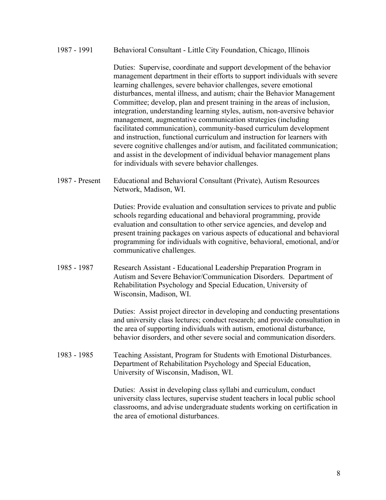#### 1987 - 1991 Behavioral Consultant - Little City Foundation, Chicago, Illinois

Duties: Supervise, coordinate and support development of the behavior management department in their efforts to support individuals with severe learning challenges, severe behavior challenges, severe emotional disturbances, mental illness, and autism; chair the Behavior Management Committee; develop, plan and present training in the areas of inclusion, integration, understanding learning styles, autism, non-aversive behavior management, augmentative communication strategies (including facilitated communication), community-based curriculum development and instruction, functional curriculum and instruction for learners with severe cognitive challenges and/or autism, and facilitated communication; and assist in the development of individual behavior management plans for individuals with severe behavior challenges.

1987 - Present Educational and Behavioral Consultant (Private), Autism Resources Network, Madison, WI.

> Duties: Provide evaluation and consultation services to private and public schools regarding educational and behavioral programming, provide evaluation and consultation to other service agencies, and develop and present training packages on various aspects of educational and behavioral programming for individuals with cognitive, behavioral, emotional, and/or communicative challenges.

1985 - 1987 Research Assistant - Educational Leadership Preparation Program in Autism and Severe Behavior/Communication Disorders. Department of Rehabilitation Psychology and Special Education, University of Wisconsin, Madison, WI.

> Duties: Assist project director in developing and conducting presentations and university class lectures; conduct research; and provide consultation in the area of supporting individuals with autism, emotional disturbance, behavior disorders, and other severe social and communication disorders.

1983 - 1985 Teaching Assistant, Program for Students with Emotional Disturbances. Department of Rehabilitation Psychology and Special Education, University of Wisconsin, Madison, WI.

> Duties: Assist in developing class syllabi and curriculum, conduct university class lectures, supervise student teachers in local public school classrooms, and advise undergraduate students working on certification in the area of emotional disturbances.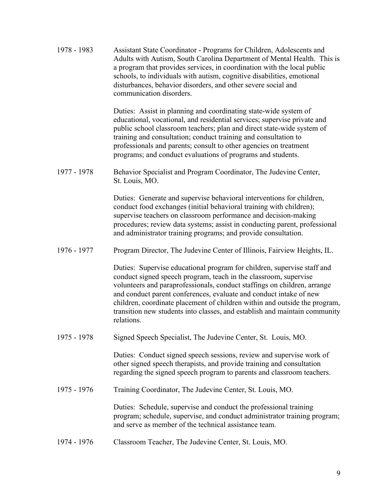1978 - 1983 Assistant State Coordinator - Programs for Children, Adolescents and Adults with Autism, South Carolina Department of Mental Health. This is a program that provides services, in coordination with the local public schools, to individuals with autism, cognitive disabilities, emotional disturbances, behavior disorders, and other severe social and communication disorders.

> Duties: Assist in planning and coordinating state-wide system of educational, vocational, and residential services; supervise private and public school classroom teachers; plan and direct state-wide system of training and consultation; conduct training and consultation to professionals and parents; consult to other agencies on treatment programs; and conduct evaluations of programs and students.

1977 - 1978 Behavior Specialist and Program Coordinator, The Judevine Center, St. Louis, MO.

> Duties: Generate and supervise behavioral interventions for children, conduct food exchanges (initial behavioral training with children); supervise teachers on classroom performance and decision-making procedures; review data systems; assist in conducting parent, professional and administrator training programs; and provide consultation.

1976 - 1977 Program Director, The Judevine Center of Illinois, Fairview Heights, IL.

Duties: Supervise educational program for children, supervise staff and conduct signed speech program, teach in the classroom, supervise volunteers and paraprofessionals, conduct staffings on children, arrange and conduct parent conferences, evaluate and conduct intake of new children, coordinate placement of children within and outside the program, transition new students into classes, and establish and maintain community relations.

1975 - 1978 Signed Speech Specialist, The Judevine Center, St. Louis, MO.

Duties: Conduct signed speech sessions, review and supervise work of other signed speech therapists, and provide training and consultation regarding the signed speech program to parents and classroom teachers.

1975 - 1976 Training Coordinator, The Judevine Center, St. Louis, MO.

Duties: Schedule, supervise and conduct the professional training program; schedule, supervise, and conduct administrator training program; and serve as member of the technical assistance team.

1974 - 1976 Classroom Teacher, The Judevine Center, St. Louis, MO.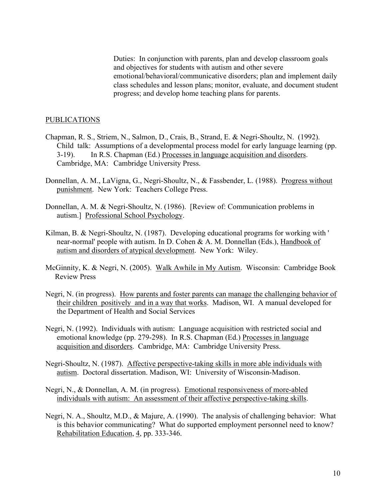Duties: In conjunction with parents, plan and develop classroom goals and objectives for students with autism and other severe emotional/behavioral/communicative disorders; plan and implement daily class schedules and lesson plans; monitor, evaluate, and document student progress; and develop home teaching plans for parents.

#### PUBLICATIONS

- Chapman, R. S., Striem, N., Salmon, D., Crais, B., Strand, E. & Negri-Shoultz, N. (1992). Child talk: Assumptions of a developmental process model for early language learning (pp. 3-19). In R.S. Chapman (Ed.) Processes in language acquisition and disorders. Cambridge, MA: Cambridge University Press.
- Donnellan, A. M., LaVigna, G., Negri-Shoultz, N., & Fassbender, L. (1988). Progress without punishment. New York: Teachers College Press.
- Donnellan, A. M. & Negri-Shoultz, N. (1986). [Review of: Communication problems in autism.] Professional School Psychology.
- Kilman, B. & Negri-Shoultz, N. (1987). Developing educational programs for working with ' near-normal' people with autism. In D. Cohen & A. M. Donnellan (Eds.), Handbook of autism and disorders of atypical development. New York: Wiley.
- McGinnity, K. & Negri, N. (2005). Walk Awhile in My Autism. Wisconsin: Cambridge Book Review Press
- Negri, N. (in progress). How parents and foster parents can manage the challenging behavior of their children positively and in a way that works. Madison, WI. A manual developed for the Department of Health and Social Services
- Negri, N. (1992). Individuals with autism: Language acquisition with restricted social and emotional knowledge (pp. 279-298). In R.S. Chapman (Ed.) Processes in language acquisition and disorders. Cambridge, MA: Cambridge University Press.
- Negri-Shoultz, N. (1987). Affective perspective-taking skills in more able individuals with autism. Doctoral dissertation. Madison, WI: University of Wisconsin-Madison.
- Negri, N., & Donnellan, A. M. (in progress). Emotional responsiveness of more-abled individuals with autism: An assessment of their affective perspective-taking skills.
- Negri, N. A., Shoultz, M.D., & Majure, A. (1990). The analysis of challenging behavior: What is this behavior communicating? What do supported employment personnel need to know? Rehabilitation Education, 4, pp. 333-346.